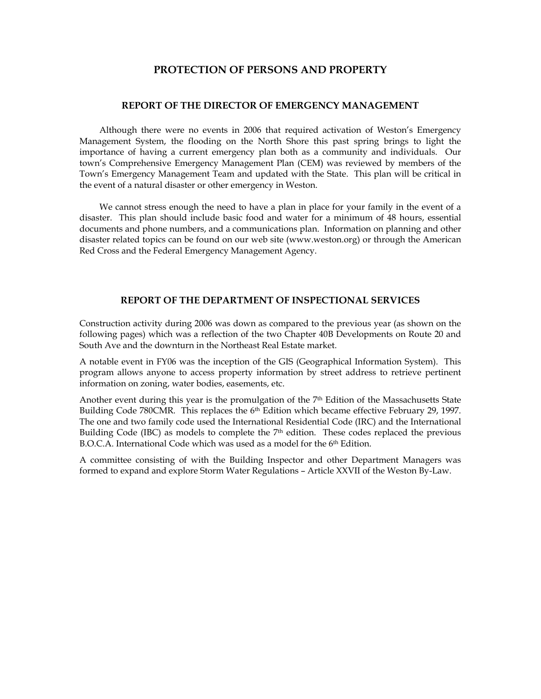# **PROTECTION OF PERSONS AND PROPERTY**

### **REPORT OF THE DIRECTOR OF EMERGENCY MANAGEMENT**

 Although there were no events in 2006 that required activation of Weston's Emergency Management System, the flooding on the North Shore this past spring brings to light the importance of having a current emergency plan both as a community and individuals. Our town's Comprehensive Emergency Management Plan (CEM) was reviewed by members of the Town's Emergency Management Team and updated with the State. This plan will be critical in the event of a natural disaster or other emergency in Weston.

 We cannot stress enough the need to have a plan in place for your family in the event of a disaster. This plan should include basic food and water for a minimum of 48 hours, essential documents and phone numbers, and a communications plan. Information on planning and other disaster related topics can be found on our web site (www.weston.org) or through the American Red Cross and the Federal Emergency Management Agency.

## **REPORT OF THE DEPARTMENT OF INSPECTIONAL SERVICES**

Construction activity during 2006 was down as compared to the previous year (as shown on the following pages) which was a reflection of the two Chapter 40B Developments on Route 20 and South Ave and the downturn in the Northeast Real Estate market.

A notable event in FY06 was the inception of the GIS (Geographical Information System). This program allows anyone to access property information by street address to retrieve pertinent information on zoning, water bodies, easements, etc.

Another event during this year is the promulgation of the 7th Edition of the Massachusetts State Building Code 780CMR. This replaces the 6<sup>th</sup> Edition which became effective February 29, 1997. The one and two family code used the International Residential Code (IRC) and the International Building Code (IBC) as models to complete the  $7<sup>th</sup>$  edition. These codes replaced the previous B.O.C.A. International Code which was used as a model for the 6th Edition.

A committee consisting of with the Building Inspector and other Department Managers was formed to expand and explore Storm Water Regulations – Article XXVII of the Weston By-Law.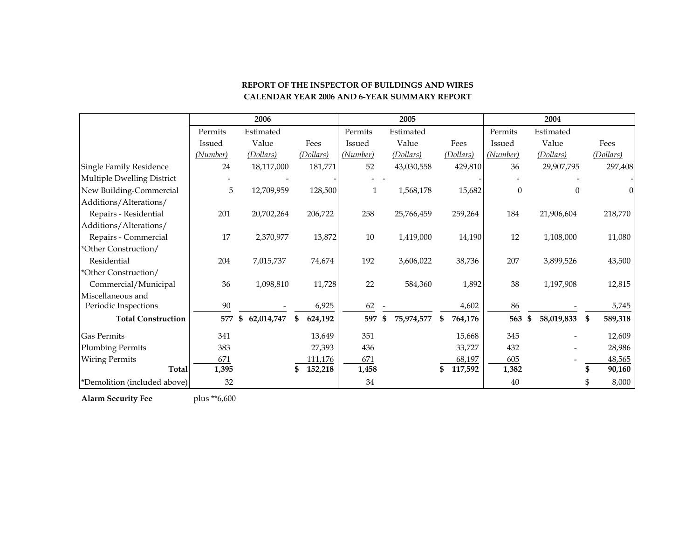|                              |          | 2006             |               |          | 2005             |                 |          | 2004             |                |
|------------------------------|----------|------------------|---------------|----------|------------------|-----------------|----------|------------------|----------------|
|                              | Permits  | Estimated        |               | Permits  | Estimated        |                 | Permits  | Estimated        |                |
|                              | Issued   | Value            | Fees          | Issued   | Value            | Fees            | Issued   | Value            | Fees           |
|                              | (Number) | (Dollars)        | (Dollars)     | (Number) | (Dollars)        | (Dollars)       | (Number) | (Dollars)        | (Dollars)      |
| Single Family Residence      | 24       | 18,117,000       | 181,771       | 52       | 43,030,558       | 429,810         | 36       | 29,907,795       | 297,408        |
| Multiple Dwelling District   |          |                  |               |          |                  |                 |          |                  |                |
| New Building-Commercial      | 5        | 12,709,959       | 128,500       | 1        | 1,568,178        | 15,682          | $\theta$ |                  | $\overline{0}$ |
| Additions/Alterations/       |          |                  |               |          |                  |                 |          |                  |                |
| Repairs - Residential        | 201      | 20,702,264       | 206,722       | 258      | 25,766,459       | 259,264         | 184      | 21,906,604       | 218,770        |
| Additions/Alterations/       |          |                  |               |          |                  |                 |          |                  |                |
| Repairs - Commercial         | 17       | 2,370,977        | 13,872        | 10       | 1,419,000        | 14,190          | 12       | 1,108,000        | 11,080         |
| *Other Construction/         |          |                  |               |          |                  |                 |          |                  |                |
| Residential                  | 204      | 7,015,737        | 74,674        | 192      | 3,606,022        | 38,736          | 207      | 3,899,526        | 43,500         |
| *Other Construction/         |          |                  |               |          |                  |                 |          |                  |                |
| Commercial/Municipal         | 36       | 1,098,810        | 11,728        | 22       | 584,360          | 1,892           | 38       | 1,197,908        | 12,815         |
| Miscellaneous and            |          |                  |               |          |                  |                 |          |                  |                |
| Periodic Inspections         | 90       |                  | 6,925         | 62       |                  | 4,602           | 86       |                  | 5,745          |
| <b>Total Construction</b>    | 577      | 62,014,747<br>\$ | \$<br>624,192 | 597      | 75,974,577<br>\$ | 764,176<br>- \$ | 563      | 58,019,833<br>\$ | 589,318<br>\$  |
| <b>Gas Permits</b>           | 341      |                  | 13,649        | 351      |                  | 15,668          | 345      |                  | 12,609         |
| Plumbing Permits             | 383      |                  | 27,393        | 436      |                  | 33,727          | 432      |                  | 28,986         |
| <b>Wiring Permits</b>        | 671      |                  | 111,176       | 671      |                  | 68,197          | 605      |                  | 48,565         |
| <b>Total</b>                 | 1,395    |                  | 152,218<br>\$ | 1,458    |                  | 117,592         | 1,382    |                  | 90,160         |
| *Demolition (included above) | 32       |                  |               | 34       |                  |                 | 40       |                  | 8,000<br>\$    |

## **REPORT OF THE INSPECTOR OF BUILDINGS AND WIRES CALENDAR YEAR 2006 AND 6-YEAR SUMMARY REPORT**

**Alarm Security Fee** plus \*\*6,600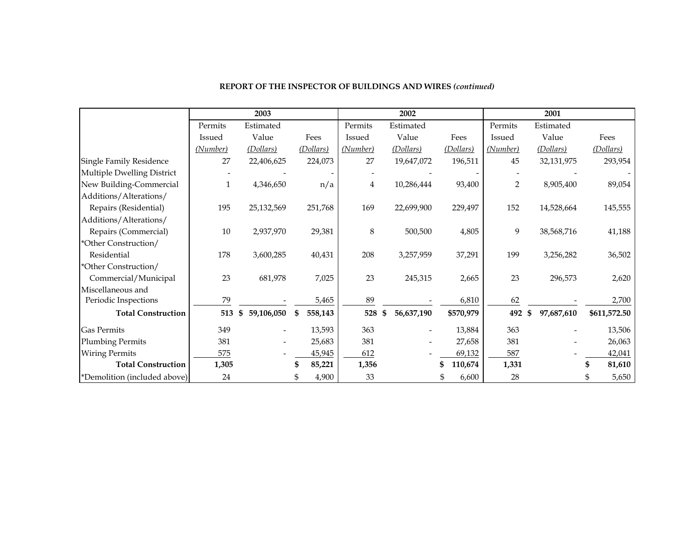|                              |          | 2003             |               |          | 2002             |           |               | 2001             |              |
|------------------------------|----------|------------------|---------------|----------|------------------|-----------|---------------|------------------|--------------|
|                              | Permits  | Estimated        |               | Permits  | Estimated        |           | Permits       | Estimated        |              |
|                              | Issued   | Value            | Fees          | Issued   | Value            | Fees      | <b>Issued</b> | Value            | Fees         |
|                              | (Number) | (Dollars)        | (Dollars)     | (Number) | (Dollars)        | (Dollars) | (Number)      | (Dollars)        | (Dollars)    |
| Single Family Residence      | 27       | 22,406,625       | 224,073       | 27       | 19,647,072       | 196,511   | 45            | 32,131,975       | 293,954      |
| Multiple Dwelling District   |          |                  |               |          |                  |           |               |                  |              |
| New Building-Commercial      | 1        | 4,346,650        | n/a           | 4        | 10,286,444       | 93,400    | 2             | 8,905,400        | 89,054       |
| Additions/Alterations/       |          |                  |               |          |                  |           |               |                  |              |
| Repairs (Residential)        | 195      | 25,132,569       | 251,768       | 169      | 22,699,900       | 229,497   | 152           | 14,528,664       | 145,555      |
| Additions/Alterations/       |          |                  |               |          |                  |           |               |                  |              |
| Repairs (Commercial)         | 10       | 2,937,970        | 29,381        | 8        | 500,500          | 4,805     | 9             | 38,568,716       | 41,188       |
| *Other Construction/         |          |                  |               |          |                  |           |               |                  |              |
| Residential                  | 178      | 3,600,285        | 40,431        | 208      | 3,257,959        | 37,291    | 199           | 3,256,282        | 36,502       |
| *Other Construction/         |          |                  |               |          |                  |           |               |                  |              |
| Commercial/Municipal         | 23       | 681,978          | 7,025         | 23       | 245,315          | 2,665     | 23            | 296,573          | 2,620        |
| Miscellaneous and            |          |                  |               |          |                  |           |               |                  |              |
| Periodic Inspections         | 79       |                  | 5,465         | 89       |                  | 6,810     | 62            |                  | 2,700        |
| <b>Total Construction</b>    | 513      | 59,106,050<br>\$ | 558,143<br>\$ | 528      | 56,637,190<br>\$ | \$570,979 | 492           | 97,687,610<br>\$ | \$611,572.50 |
| <b>Gas Permits</b>           | 349      |                  | 13,593        | 363      |                  | 13,884    | 363           |                  | 13,506       |
| <b>Plumbing Permits</b>      | 381      |                  | 25,683        | 381      |                  | 27,658    | 381           |                  | 26,063       |
| <b>Wiring Permits</b>        | 575      |                  | 45,945        | 612      |                  | 69,132    | 587           |                  | 42,041       |
| <b>Total Construction</b>    | 1,305    |                  | 85,221<br>\$  | 1,356    |                  | 110,674   | 1,331         |                  | 81,610       |
| *Demolition (included above) | 24       |                  | 4,900<br>\$   | 33       |                  | 6,600     | 28            |                  | 5,650<br>\$  |

## **REPORT OF THE INSPECTOR OF BUILDINGS AND WIRES** *(continued)*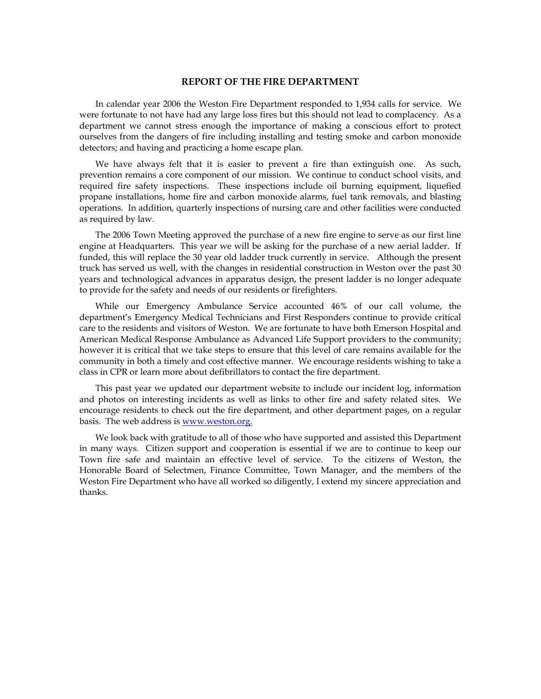#### **REPORT OF THE FIRE DEPARTMENT**

In calendar year 2006 the Weston Fire Department responded to 1,934 calls for service. We were fortunate to not have had any large loss fires but this should not lead to complacency. As a department we cannot stress enough the importance of making a conscious effort to protect ourselves from the dangers of fire including installing and testing smoke and carbon monoxide detectors; and having and practicing a home escape plan.

We have always felt that it is easier to prevent a fire than extinguish one. As such, prevention remains a core component of our mission. We continue to conduct school visits, and required fire safety inspections. These inspections include oil burning equipment, liquefied propane installations, home fire and carbon monoxide alarms, fuel tank removals, and blasting operations. In addition, quarterly inspections of nursing care and other facilities were conducted as required by law.

The 2006 Town Meeting approved the purchase of a new fire engine to serve as our first line engine at Headquarters. This year we will be asking for the purchase of a new aerial ladder. If funded, this will replace the 30 year old ladder truck currently in service. Although the present truck has served us well, with the changes in residential construction in Weston over the past 30 years and technological advances in apparatus design, the present ladder is no longer adequate to provide for the safety and needs of our residents or firefighters.

While our Emergency Ambulance Service accounted 46% of our call volume, the department's Emergency Medical Technicians and First Responders continue to provide critical care to the residents and visitors of Weston. We are fortunate to have both Emerson Hospital and American Medical Response Ambulance as Advanced Life Support providers to the community; however it is critical that we take steps to ensure that this level of care remains available for the community in both a timely and cost effective manner. We encourage residents wishing to take a class in CPR or learn more about defibrillators to contact the fire department.

This past year we updated our department website to include our incident log, information and photos on interesting incidents as well as links to other fire and safety related sites. We encourage residents to check out the fire department, and other department pages, on a regular basis. The web address is www.weston.org.

We look back with gratitude to all of those who have supported and assisted this Department in many ways. Citizen support and cooperation is essential if we are to continue to keep our Town fire safe and maintain an effective level of service. To the citizens of Weston, the Honorable Board of Selectmen, Finance Committee, Town Manager, and the members of the Weston Fire Department who have all worked so diligently, I extend my sincere appreciation and thanks.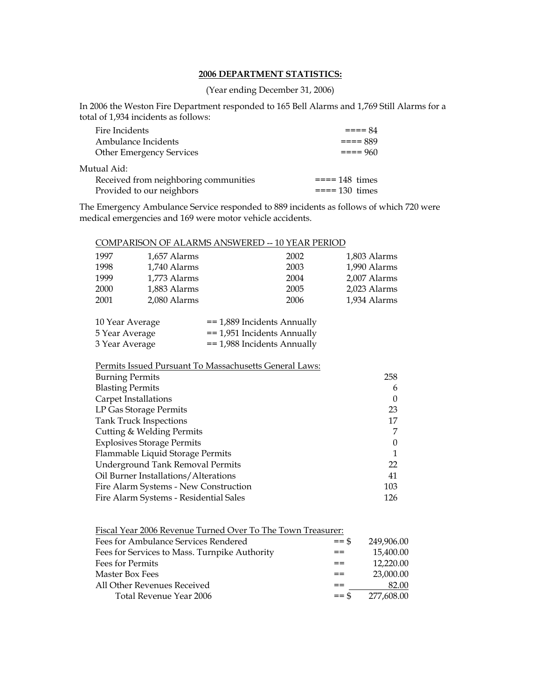## **2006 DEPARTMENT STATISTICS:**

(Year ending December 31, 2006)

In 2006 the Weston Fire Department responded to 165 Bell Alarms and 1,769 Still Alarms for a total of 1,934 incidents as follows:

| Fire Incidents                        | $=-=-84$       |
|---------------------------------------|----------------|
| Ambulance Incidents                   | $= == 889$     |
| <b>Other Emergency Services</b>       | $= == 960$     |
| Mutual Aid:                           |                |
| Received from neighboring communities | $===148$ times |
| Provided to our neighbors             | $===130$ times |

The Emergency Ambulance Service responded to 889 incidents as follows of which 720 were medical emergencies and 169 were motor vehicle accidents.

## COMPARISON OF ALARMS ANSWERED -- 10 YEAR PERIOD

| 1997 | 1,657 Alarms | 2002 | 1,803 Alarms |
|------|--------------|------|--------------|
| 1998 | 1,740 Alarms | 2003 | 1,990 Alarms |
| 1999 | 1.773 Alarms | 2004 | 2,007 Alarms |
| 2000 | 1,883 Alarms | 2005 | 2,023 Alarms |
| 2001 | 2,080 Alarms | 2006 | 1,934 Alarms |

| 10 Year Average | $=$ 1,889 Incidents Annually |
|-----------------|------------------------------|
| 5 Year Average  | $=$ 1,951 Incidents Annually |
| 3 Year Average  | $=$ 1,988 Incidents Annually |

## Permits Issued Pursuant To Massachusetts General Laws:

| <b>Blasting Permits</b><br>6<br>Carpet Installations<br>$\theta$<br>LP Gas Storage Permits<br>23<br><b>Tank Truck Inspections</b><br>17<br>Cutting & Welding Permits<br>7<br><b>Explosives Storage Permits</b><br>$\theta$<br>Flammable Liquid Storage Permits<br>Underground Tank Removal Permits<br>22<br>Oil Burner Installations/Alterations<br>41<br>Fire Alarm Systems - New Construction<br>103 | 258 |
|--------------------------------------------------------------------------------------------------------------------------------------------------------------------------------------------------------------------------------------------------------------------------------------------------------------------------------------------------------------------------------------------------------|-----|
|                                                                                                                                                                                                                                                                                                                                                                                                        |     |
|                                                                                                                                                                                                                                                                                                                                                                                                        |     |
|                                                                                                                                                                                                                                                                                                                                                                                                        |     |
|                                                                                                                                                                                                                                                                                                                                                                                                        |     |
|                                                                                                                                                                                                                                                                                                                                                                                                        |     |
|                                                                                                                                                                                                                                                                                                                                                                                                        |     |
|                                                                                                                                                                                                                                                                                                                                                                                                        |     |
|                                                                                                                                                                                                                                                                                                                                                                                                        |     |
|                                                                                                                                                                                                                                                                                                                                                                                                        |     |
|                                                                                                                                                                                                                                                                                                                                                                                                        |     |
| Fire Alarm Systems - Residential Sales<br>126                                                                                                                                                                                                                                                                                                                                                          |     |
|                                                                                                                                                                                                                                                                                                                                                                                                        |     |

| $=$ \$  | 249,906.00                                                  |
|---------|-------------------------------------------------------------|
| ==      | 15,400.00                                                   |
| ==      | 12,220.00                                                   |
| ==      | 23,000.00                                                   |
| ==      | 82.00                                                       |
| $==$ \$ | 277.608.00                                                  |
|         | Fiscal Year 2006 Revenue Turned Over To The Town Treasurer: |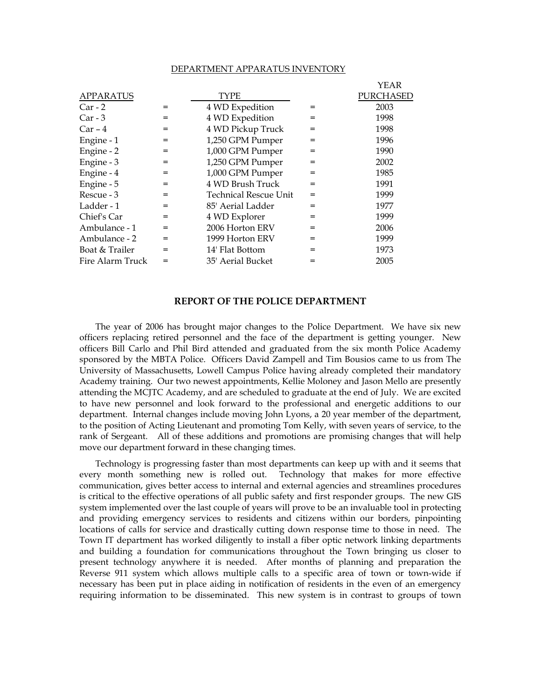#### DEPARTMENT APPARATUS INVENTORY

| YEAR                                 |  |
|--------------------------------------|--|
| PURCHASED                            |  |
| 4 WD Expedition<br>2003<br>$=$       |  |
| 4 WD Expedition<br>1998<br>$=$       |  |
| 4 WD Pickup Truck<br>1998<br>$=$     |  |
| 1,250 GPM Pumper<br>1996<br>$=$      |  |
| 1,000 GPM Pumper<br>1990<br>$=$      |  |
| 1,250 GPM Pumper<br>2002<br>$=$      |  |
| 1,000 GPM Pumper<br>1985<br>$=$      |  |
| 4 WD Brush Truck<br>1991<br>$=$      |  |
| Technical Rescue Unit<br>1999<br>$=$ |  |
| 85' Aerial Ladder<br>1977<br>$=$     |  |
| 4 WD Explorer<br>1999<br>$=$         |  |
| 2006 Horton ERV<br>2006<br>$=$       |  |
| 1999 Horton ERV<br>1999<br>$=$       |  |
| 14' Flat Bottom<br>1973<br>$=$       |  |
| 35' Aerial Bucket<br>2005<br>$=$     |  |
|                                      |  |

# **REPORT OF THE POLICE DEPARTMENT**

The year of 2006 has brought major changes to the Police Department. We have six new officers replacing retired personnel and the face of the department is getting younger. New officers Bill Carlo and Phil Bird attended and graduated from the six month Police Academy sponsored by the MBTA Police. Officers David Zampell and Tim Bousios came to us from The University of Massachusetts, Lowell Campus Police having already completed their mandatory Academy training. Our two newest appointments, Kellie Moloney and Jason Mello are presently attending the MCJTC Academy, and are scheduled to graduate at the end of July. We are excited to have new personnel and look forward to the professional and energetic additions to our department. Internal changes include moving John Lyons, a 20 year member of the department, to the position of Acting Lieutenant and promoting Tom Kelly, with seven years of service, to the rank of Sergeant. All of these additions and promotions are promising changes that will help move our department forward in these changing times.

Technology is progressing faster than most departments can keep up with and it seems that every month something new is rolled out. Technology that makes for more effective communication, gives better access to internal and external agencies and streamlines procedures is critical to the effective operations of all public safety and first responder groups. The new GIS system implemented over the last couple of years will prove to be an invaluable tool in protecting and providing emergency services to residents and citizens within our borders, pinpointing locations of calls for service and drastically cutting down response time to those in need. The Town IT department has worked diligently to install a fiber optic network linking departments and building a foundation for communications throughout the Town bringing us closer to present technology anywhere it is needed. After months of planning and preparation the Reverse 911 system which allows multiple calls to a specific area of town or town-wide if necessary has been put in place aiding in notification of residents in the even of an emergency requiring information to be disseminated. This new system is in contrast to groups of town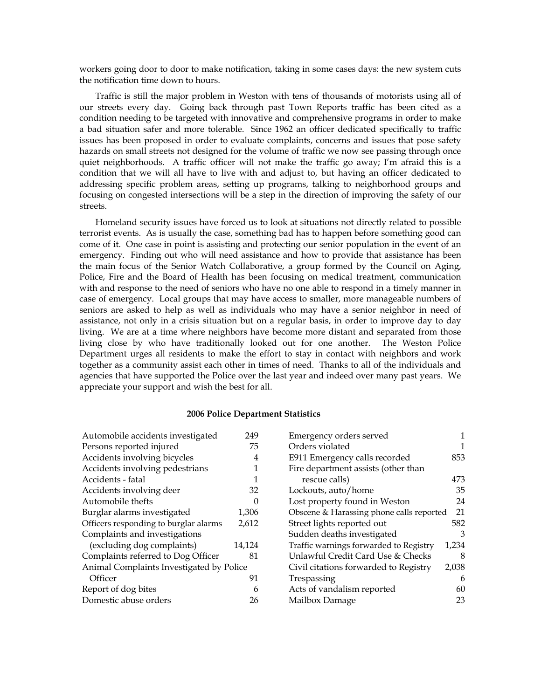workers going door to door to make notification, taking in some cases days: the new system cuts the notification time down to hours.

Traffic is still the major problem in Weston with tens of thousands of motorists using all of our streets every day. Going back through past Town Reports traffic has been cited as a condition needing to be targeted with innovative and comprehensive programs in order to make a bad situation safer and more tolerable. Since 1962 an officer dedicated specifically to traffic issues has been proposed in order to evaluate complaints, concerns and issues that pose safety hazards on small streets not designed for the volume of traffic we now see passing through once quiet neighborhoods. A traffic officer will not make the traffic go away; I'm afraid this is a condition that we will all have to live with and adjust to, but having an officer dedicated to addressing specific problem areas, setting up programs, talking to neighborhood groups and focusing on congested intersections will be a step in the direction of improving the safety of our streets.

Homeland security issues have forced us to look at situations not directly related to possible terrorist events. As is usually the case, something bad has to happen before something good can come of it. One case in point is assisting and protecting our senior population in the event of an emergency. Finding out who will need assistance and how to provide that assistance has been the main focus of the Senior Watch Collaborative, a group formed by the Council on Aging, Police, Fire and the Board of Health has been focusing on medical treatment, communication with and response to the need of seniors who have no one able to respond in a timely manner in case of emergency. Local groups that may have access to smaller, more manageable numbers of seniors are asked to help as well as individuals who may have a senior neighbor in need of assistance, not only in a crisis situation but on a regular basis, in order to improve day to day living. We are at a time where neighbors have become more distant and separated from those living close by who have traditionally looked out for one another. The Weston Police Department urges all residents to make the effort to stay in contact with neighbors and work together as a community assist each other in times of need. Thanks to all of the individuals and agencies that have supported the Police over the last year and indeed over many past years. We appreciate your support and wish the best for all.

#### **2006 Police Department Statistics**

| Automobile accidents investigated        | 249      | Emergency orders served                  |       |
|------------------------------------------|----------|------------------------------------------|-------|
| Persons reported injured                 | 75       | Orders violated                          |       |
| Accidents involving bicycles             | 4        | E911 Emergency calls recorded            | 853   |
| Accidents involving pedestrians          |          | Fire department assists (other than      |       |
| Accidents - fatal                        |          | rescue calls)                            | 473   |
| Accidents involving deer                 | 32       | Lockouts, auto/home                      | 35    |
| Automobile thefts                        | $\Omega$ | Lost property found in Weston            | 24    |
| Burglar alarms investigated              | 1,306    | Obscene & Harassing phone calls reported | 21    |
| Officers responding to burglar alarms    | 2,612    | Street lights reported out               | 582   |
| Complaints and investigations            |          | Sudden deaths investigated               | 3     |
| (excluding dog complaints)               | 14,124   | Traffic warnings forwarded to Registry   | 1,234 |
| Complaints referred to Dog Officer       | 81       | Unlawful Credit Card Use & Checks        | 8     |
| Animal Complaints Investigated by Police |          | Civil citations forwarded to Registry    | 2,038 |
| Officer                                  | 91       | Trespassing                              | 6     |
| Report of dog bites                      | 6        | Acts of vandalism reported               | 60    |
| Domestic abuse orders                    | 26       | Mailbox Damage                           | 23    |
|                                          |          |                                          |       |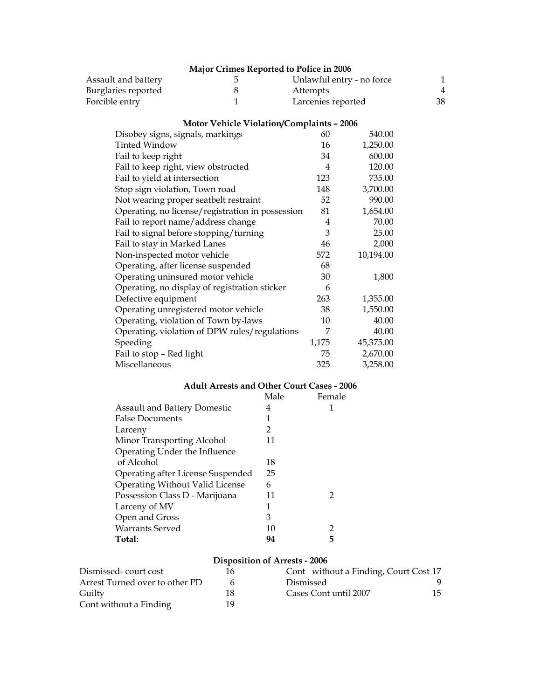|                                        | Major Crimes Reported to Police in 2006          |                    |                           |              |
|----------------------------------------|--------------------------------------------------|--------------------|---------------------------|--------------|
| Assault and battery                    | 5                                                |                    | Unlawful entry - no force | $\mathbf{1}$ |
| Burglaries reported                    | 8                                                | Attempts           |                           | 4            |
| Forcible entry                         | $\mathbf{1}$                                     | Larcenies reported |                           | 38           |
|                                        | <b>Motor Vehicle Violation/Complaints - 2006</b> |                    |                           |              |
| Disobey signs, signals, markings       |                                                  | 60                 | 540.00                    |              |
| <b>Tinted Window</b>                   |                                                  | 16                 | 1,250.00                  |              |
| Fail to keep right                     |                                                  | 34                 | 600.00                    |              |
| Fail to keep right, view obstructed    |                                                  | 4                  | 120.00                    |              |
| Fail to yield at intersection          |                                                  | 123                | 735.00                    |              |
| Stop sign violation, Town road         |                                                  | 148                | 3,700.00                  |              |
| Not wearing proper seatbelt restraint  |                                                  | 52                 | 990.00                    |              |
|                                        | Operating, no license/registration in possession | 81                 | 1,654.00                  |              |
| Fail to report name/address change     |                                                  | $\overline{4}$     | 70.00                     |              |
| Fail to signal before stopping/turning |                                                  | 3                  | 25.00                     |              |
| Fail to stay in Marked Lanes           |                                                  | 46                 | 2,000                     |              |
| Non-inspected motor vehicle            |                                                  | 572                | 10,194.00                 |              |
| Operating, after license suspended     |                                                  | 68                 |                           |              |
| Operating uninsured motor vehicle      |                                                  | 30                 | 1,800                     |              |
|                                        | Operating, no display of registration sticker    | 6                  |                           |              |
| Defective equipment                    |                                                  | 263                | 1,355.00                  |              |
| Operating unregistered motor vehicle   |                                                  | 38                 | 1,550.00                  |              |
| Operating, violation of Town by-laws   |                                                  | 10                 | 40.00                     |              |
|                                        | Operating, violation of DPW rules/regulations    | 7                  | 40.00                     |              |
| Speeding                               |                                                  | 1,175              | 45,375.00                 |              |
| Fail to stop - Red light               |                                                  | 75                 | 2,670.00                  |              |
| Miscellaneous                          |                                                  | 325                | 3,258.00                  |              |

# **Adult Arrests and Other Court Cases - 2006**

|                                     | Male | Female |
|-------------------------------------|------|--------|
| <b>Assault and Battery Domestic</b> | 4    |        |
| <b>False Documents</b>              | 1    |        |
| Larceny                             | 2    |        |
| Minor Transporting Alcohol          | 11   |        |
| Operating Under the Influence       |      |        |
| of Alcohol                          | 18   |        |
| Operating after License Suspended   | 25   |        |
| Operating Without Valid License     | 6    |        |
| Possession Class D - Marijuana      | 11   | 2      |
| Larceny of MV                       | 1    |        |
| Open and Gross                      | 3    |        |
| <b>Warrants Served</b>              | 10   | 2      |
| Total:                              | 94   | 5      |

# **Disposition of Arrests - 2006**

| Dismissed-court cost           | 16 | Cont without a Finding, Court Cost 17 |    |
|--------------------------------|----|---------------------------------------|----|
| Arrest Turned over to other PD |    | Dismissed                             |    |
| Guilty                         | 18 | Cases Cont until 2007                 | 15 |
| Cont without a Finding         | 19 |                                       |    |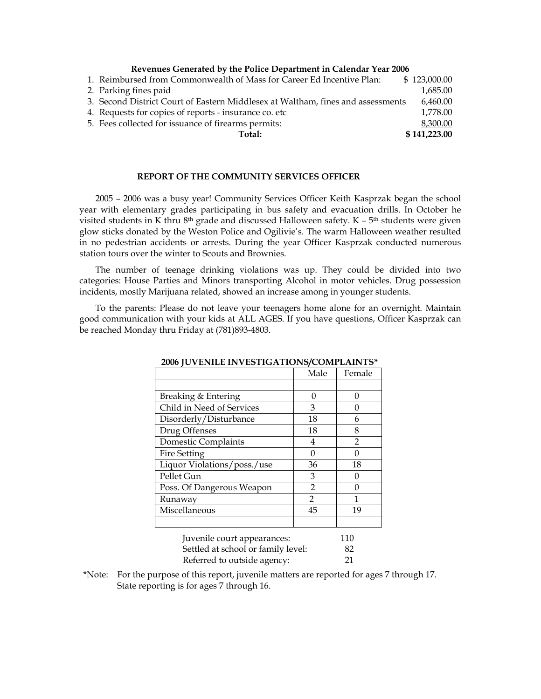#### **Revenues Generated by the Police Department in Calendar Year 2006**

| 1. Reimbursed from Commonwealth of Mass for Career Ed Incentive Plan:           | \$123,000.00 |
|---------------------------------------------------------------------------------|--------------|
| 2. Parking fines paid                                                           | 1,685.00     |
| 3. Second District Court of Eastern Middlesex at Waltham, fines and assessments | 6,460.00     |
| 4. Requests for copies of reports - insurance co. etc.                          | 1,778.00     |
| 5. Fees collected for issuance of firearms permits:                             | 8,300.00     |
| Total:                                                                          | \$141,223.00 |

#### **REPORT OF THE COMMUNITY SERVICES OFFICER**

2005 – 2006 was a busy year! Community Services Officer Keith Kasprzak began the school year with elementary grades participating in bus safety and evacuation drills. In October he visited students in K thru 8<sup>th</sup> grade and discussed Halloween safety. K - 5<sup>th</sup> students were given glow sticks donated by the Weston Police and Ogilivie's. The warm Halloween weather resulted in no pedestrian accidents or arrests. During the year Officer Kasprzak conducted numerous station tours over the winter to Scouts and Brownies.

The number of teenage drinking violations was up. They could be divided into two categories: House Parties and Minors transporting Alcohol in motor vehicles. Drug possession incidents, mostly Marijuana related, showed an increase among in younger students.

To the parents: Please do not leave your teenagers home alone for an overnight. Maintain good communication with your kids at ALL AGES. If you have questions, Officer Kasprzak can be reached Monday thru Friday at (781)893-4803.

|                                    | Male           | Female         |  |
|------------------------------------|----------------|----------------|--|
|                                    |                |                |  |
| Breaking & Entering                | $\Omega$       | 0              |  |
| Child in Need of Services          | 3              | 0              |  |
| Disorderly/Disturbance             | 18             | 6              |  |
| Drug Offenses                      | 18             | 8              |  |
| Domestic Complaints                | 4              | $\mathfrak{D}$ |  |
| <b>Fire Setting</b>                | 0              | 0              |  |
| Liquor Violations/poss./use        | 36             | 18             |  |
| Pellet Gun                         | 3              | 0              |  |
| Poss. Of Dangerous Weapon          | $\overline{2}$ | $\theta$       |  |
| Runaway                            | $\overline{2}$ | 1              |  |
| Miscellaneous                      | 45             | 19             |  |
|                                    |                |                |  |
| Juvenile court appearances:        |                | 110            |  |
| Settled at school or family level: |                | 82             |  |

**2006 JUVENILE INVESTIGATIONS/COMPLAINTS\*** 

| Referred to outside agency:                                                                 |  |
|---------------------------------------------------------------------------------------------|--|
| *Note: For the purpose of this report, juvenile matters are reported for ages 7 through 17. |  |

State reporting is for ages 7 through 16.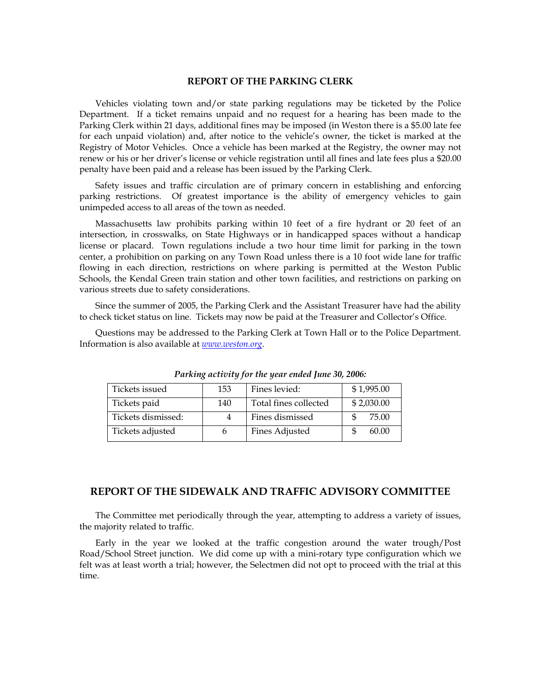#### **REPORT OF THE PARKING CLERK**

Vehicles violating town and/or state parking regulations may be ticketed by the Police Department. If a ticket remains unpaid and no request for a hearing has been made to the Parking Clerk within 21 days, additional fines may be imposed (in Weston there is a \$5.00 late fee for each unpaid violation) and, after notice to the vehicle's owner, the ticket is marked at the Registry of Motor Vehicles. Once a vehicle has been marked at the Registry, the owner may not renew or his or her driver's license or vehicle registration until all fines and late fees plus a \$20.00 penalty have been paid and a release has been issued by the Parking Clerk.

Safety issues and traffic circulation are of primary concern in establishing and enforcing parking restrictions. Of greatest importance is the ability of emergency vehicles to gain unimpeded access to all areas of the town as needed.

Massachusetts law prohibits parking within 10 feet of a fire hydrant or 20 feet of an intersection, in crosswalks, on State Highways or in handicapped spaces without a handicap license or placard. Town regulations include a two hour time limit for parking in the town center, a prohibition on parking on any Town Road unless there is a 10 foot wide lane for traffic flowing in each direction, restrictions on where parking is permitted at the Weston Public Schools, the Kendal Green train station and other town facilities, and restrictions on parking on various streets due to safety considerations.

Since the summer of 2005, the Parking Clerk and the Assistant Treasurer have had the ability to check ticket status on line. Tickets may now be paid at the Treasurer and Collector's Office.

Questions may be addressed to the Parking Clerk at Town Hall or to the Police Department. Information is also available at *www.weston.org*.

| Tickets issued     | 153 | Fines levied:         | \$1,995.00 |
|--------------------|-----|-----------------------|------------|
| Tickets paid       | 140 | Total fines collected | \$2,030.00 |
| Tickets dismissed: |     | Fines dismissed       | 75.00      |
| Tickets adjusted   |     | <b>Fines Adjusted</b> | 60.00      |

*Parking activity for the year ended June 30, 2006:* 

### **REPORT OF THE SIDEWALK AND TRAFFIC ADVISORY COMMITTEE**

The Committee met periodically through the year, attempting to address a variety of issues, the majority related to traffic.

Early in the year we looked at the traffic congestion around the water trough/Post Road/School Street junction. We did come up with a mini-rotary type configuration which we felt was at least worth a trial; however, the Selectmen did not opt to proceed with the trial at this time.